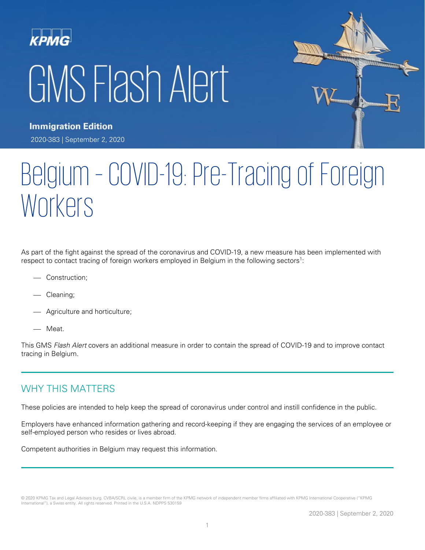# **KPMG** GMS Flash Alert



**Immigration Edition** 2020-383 | September 2, 2020

## Belgium – COVID-19: Pre-Tracing of Foreign Workers

As part of the fight against the spread of the coronavirus and COVID-19, a new measure has been implemented with respect to contact tracing of foreign workers employed in Belgium in the following sectors<sup>1</sup>:

- Construction;
- Cleaning;
- Agriculture and horticulture;
- Meat.

This GMS Flash Alert covers an additional measure in order to contain the spread of COVID-19 and to improve contact tracing in Belgium.

## WHY THIS MATTERS

These policies are intended to help keep the spread of coronavirus under control and instill confidence in the public.

Employers have enhanced information gathering and record-keeping if they are engaging the services of an employee or self-employed person who resides or lives abroad.

Competent authorities in Belgium may request this information.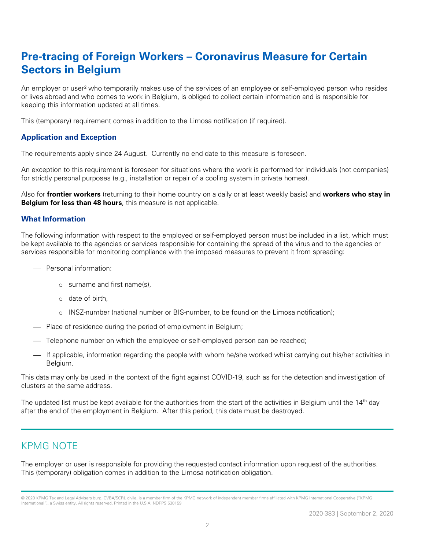## **Pre-tracing of Foreign Workers – Coronavirus Measure for Certain Sectors in Belgium**

An employer or user² who temporarily makes use of the services of an employee or self-employed person who resides or lives abroad and who comes to work in Belgium, is obliged to collect certain information and is responsible for keeping this information updated at all times.

This (temporary) requirement comes in addition to the Limosa notification (if required).

#### **Application and Exception**

The requirements apply since 24 August. Currently no end date to this measure is foreseen.

An exception to this requirement is foreseen for situations where the work is performed for individuals (not companies) for strictly personal purposes (e.g., installation or repair of a cooling system in private homes).

Also for **frontier workers** (returning to their home country on a daily or at least weekly basis) and **workers who stay in Belgium for less than 48 hours**, this measure is not applicable.

#### **What Information**

The following information with respect to the employed or self-employed person must be included in a list, which must be kept available to the agencies or services responsible for containing the spread of the virus and to the agencies or services responsible for monitoring compliance with the imposed measures to prevent it from spreading:

- $-$  Personal information:
	- o surname and first name(s),
	- o date of birth,
	- o INSZ-number (national number or BIS-number, to be found on the Limosa notification);
- Place of residence during the period of employment in Belgium;
- Telephone number on which the employee or self-employed person can be reached;
- ⎯ If applicable, information regarding the people with whom he/she worked whilst carrying out his/her activities in Belgium.

This data may only be used in the context of the fight against COVID-19, such as for the detection and investigation of clusters at the same address.

The updated list must be kept available for the authorities from the start of the activities in Belgium until the 14<sup>th</sup> day after the end of the employment in Belgium. After this period, this data must be destroyed.

### KPMG NOTE

The employer or user is responsible for providing the requested contact information upon request of the authorities. This (temporary) obligation comes in addition to the Limosa notification obligation.

<sup>© 2020</sup> KPMG Tax and Legal Advisers burg. CVBA/SCRL civile, is a member firm of the KPMG network of independent member firms affiliated with KPMG International Cooperative ("KPMG International"), a Swiss entity. All rights reserved. Printed in the U.S.A. NDPPS 530159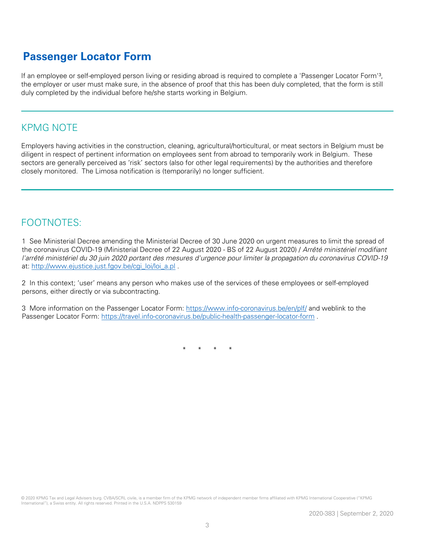## **Passenger Locator Form**

If an employee or self-employed person living or residing abroad is required to complete a 'Passenger Locator Form'<sup>3</sup>, the employer or user must make sure, in the absence of proof that this has been duly completed, that the form is still duly completed by the individual before he/she starts working in Belgium.

## KPMG NOTE

Employers having activities in the construction, cleaning, agricultural/horticultural, or meat sectors in Belgium must be diligent in respect of pertinent information on employees sent from abroad to temporarily work in Belgium. These sectors are generally perceived as 'risk' sectors (also for other legal requirements) by the authorities and therefore closely monitored. The Limosa notification is (temporarily) no longer sufficient.

## FOOTNOTES:

1 See Ministerial Decree amending the Ministerial Decree of 30 June 2020 on urgent measures to limit the spread of the coronavirus COVID-19 (Ministerial Decree of 22 August 2020 - BS of 22 August 2020) / Arrêté ministériel modifiant l'arrêté ministériel du 30 juin 2020 portant des mesures d'urgence pour limiter la propagation du coronavirus COVID-19 at: [http://www.ejustice.just.fgov.be/cgi\\_loi/loi\\_a.pl](http://www.ejustice.just.fgov.be/cgi_loi/loi_a.pl) .

2 In this context; 'user' means any person who makes use of the services of these employees or self-employed persons, either directly or via subcontracting.

3 More information on the Passenger Locator Form:<https://www.info-coronavirus.be/en/plf/> and weblink to the Passenger Locator Form:<https://travel.info-coronavirus.be/public-health-passenger-locator-form> .

\* \* \* \*

© 2020 KPMG Tax and Legal Advisers burg. CVBA/SCRL civile, is a member firm of the KPMG network of independent member firms affiliated with KPMG International Cooperative ("KPMG International"), a Swiss entity. All rights reserved. Printed in the U.S.A. NDPPS 530159